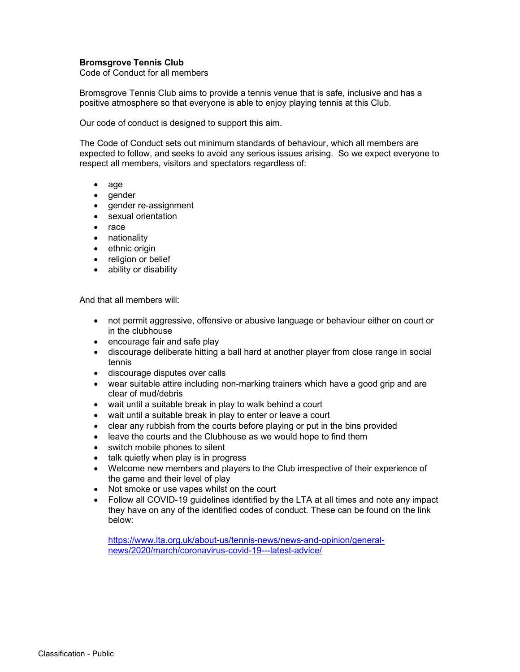## **Bromsgrove Tennis Club**

Code of Conduct for all members

Bromsgrove Tennis Club aims to provide a tennis venue that is safe, inclusive and has a positive atmosphere so that everyone is able to enjoy playing tennis at this Club.

Our code of conduct is designed to support this aim.

The Code of Conduct sets out minimum standards of behaviour, which all members are expected to follow, and seeks to avoid any serious issues arising. So we expect everyone to respect all members, visitors and spectators regardless of:

- age
- gender
- gender re-assignment
- sexual orientation
- $\bullet$  race
- nationality
- ethnic origin
- religion or belief
- ability or disability

And that all members will:

- not permit aggressive, offensive or abusive language or behaviour either on court or in the clubhouse
- encourage fair and safe play
- discourage deliberate hitting a ball hard at another player from close range in social tennis
- discourage disputes over calls
- wear suitable attire including non-marking trainers which have a good grip and are clear of mud/debris
- wait until a suitable break in play to walk behind a court
- wait until a suitable break in play to enter or leave a court
- clear any rubbish from the courts before playing or put in the bins provided
- leave the courts and the Clubhouse as we would hope to find them
- switch mobile phones to silent
- talk quietly when play is in progress
- Welcome new members and players to the Club irrespective of their experience of the game and their level of play
- Not smoke or use vapes whilst on the court
- Follow all COVID-19 guidelines identified by the LTA at all times and note any impact they have on any of the identified codes of conduct. These can be found on the link below:

https://www.lta.org.uk/about-us/tennis-news/news-and-opinion/generalnews/2020/march/coronavirus-covid-19---latest-advice/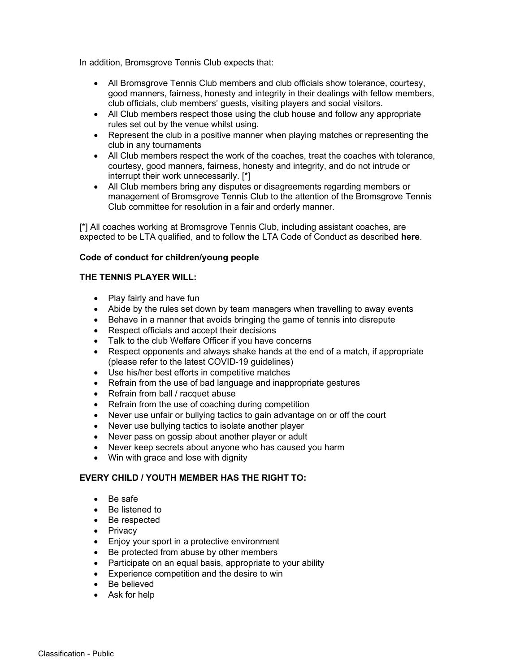In addition, Bromsgrove Tennis Club expects that:

- All Bromsgrove Tennis Club members and club officials show tolerance, courtesy, good manners, fairness, honesty and integrity in their dealings with fellow members, club officials, club members' guests, visiting players and social visitors.
- All Club members respect those using the club house and follow any appropriate rules set out by the venue whilst using.
- Represent the club in a positive manner when playing matches or representing the club in any tournaments
- All Club members respect the work of the coaches, treat the coaches with tolerance, courtesy, good manners, fairness, honesty and integrity, and do not intrude or interrupt their work unnecessarily. [\*]
- All Club members bring any disputes or disagreements regarding members or management of Bromsgrove Tennis Club to the attention of the Bromsgrove Tennis Club committee for resolution in a fair and orderly manner.

[\*] All coaches working at Bromsgrove Tennis Club, including assistant coaches, are expected to be LTA qualified, and to follow the LTA Code of Conduct as described **here**.

## **Code of conduct for children/young people**

## **THE TENNIS PLAYER WILL:**

- Play fairly and have fun
- Abide by the rules set down by team managers when travelling to away events
- Behave in a manner that avoids bringing the game of tennis into disrepute
- Respect officials and accept their decisions
- Talk to the club Welfare Officer if you have concerns
- Respect opponents and always shake hands at the end of a match, if appropriate (please refer to the latest COVID-19 guidelines)
- Use his/her best efforts in competitive matches
- Refrain from the use of bad language and inappropriate gestures
- Refrain from ball / racquet abuse
- Refrain from the use of coaching during competition
- Never use unfair or bullying tactics to gain advantage on or off the court
- Never use bullying tactics to isolate another player
- Never pass on gossip about another player or adult
- Never keep secrets about anyone who has caused you harm
- Win with grace and lose with dignity

## **EVERY CHILD / YOUTH MEMBER HAS THE RIGHT TO:**

- Be safe
- Be listened to
- Be respected
- **Privacy**
- Enjoy your sport in a protective environment
- Be protected from abuse by other members
- Participate on an equal basis, appropriate to your ability
- Experience competition and the desire to win
- Be believed
- Ask for help